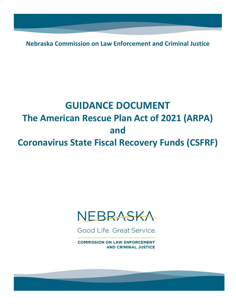**Nebraska Commission on Law Enforcement and Criminal Justice**

# **GUIDANCE DOCUMENT The American Rescue Plan Act of 2021 (ARPA) and Coronavirus State Fiscal Recovery Funds (CSFRF)**



Good Life, Great Service.

**COMMISSION ON LAW ENFORCEMENT AND CRIMINAL JUSTICE**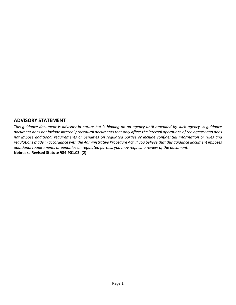# **ADVISORY STATEMENT**

*This guidance document is advisory in nature but is binding on an agency until amended by such agency. A guidance document does not include internal procedural documents that only affect the internal operations of the agency and does not impose additional requirements or penalties on regulated parties or include confidential information or rules and regulations made in accordance with the Administrative Procedure Act. If you believe that this guidance document imposes additional requirements or penalties on regulated parties, you may request a review of the document.*  **Nebraska Revised Statute §84-901.03. (2)**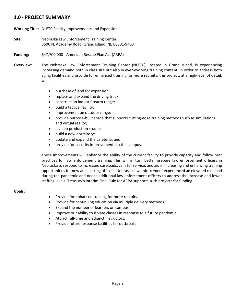# **1.0 - PROJECT SUMMARY**

**Working Title:** NLETC Facility Improvements and Expansion

**Site:** Nebraska Law Enforcement Training Center 3600 N. Academy Road, Grand Island, NE 68801-9403

**Funding:** \$47,700,000 - American Rescue Plan Act (ARPA)

- **Overview:** The Nebraska Law Enforcement Training Center (NLETC), located in Grand Island, is experiencing increasing demand both in class size but also in ever-evolving training content. In order to address both aging facilities and provide for enhanced training for more recruits, this project, at a high-level of detail, will:
	- purchase of land for expansion;
	- replace and expand the driving track;
	- construct an indoor firearm range;
	- build a tactical facility;
	- improvement an outdoor range;
	- provide purpose-built space that supports cutting-edge training methods such as simulations and virtual reality;
	- a video production studio;
	- build a new dormitory;
	- update and expand the cafeteria; and
	- provide for security improvements to the campus.

These improvements will enhance the ability of the current facility to provide capacity and follow best practices for law enforcement training. This will in turn better prepare law enforcement officers in Nebraska to respond to increased caseloads, calls for service, and aid in increasing and enhancing training opportunities for new and existing officers. Nebraska law enforcement experienced an elevated caseload during the pandemic and needs additional law enforcement officers to address the increase and lower staffing levels. Treasury's Interim Final Rule for ARPA supports such projects for funding.

#### **Goals:**

- Provide for enhanced training for more recruits.
- Provide for continuing education via multiple delivery methods.
- Expand the number of learners on campus.
- Improve our ability to isolate classes in response to a future pandemic.
- Attract full-time and adjunct instructors.
- Provide future response facilities for outbreaks.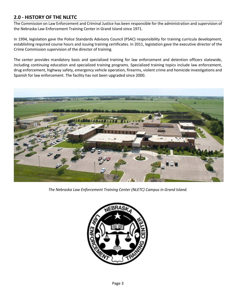# **2.0 - HISTORY OF THE NLETC**

The Commission on Law Enforcement and Criminal Justice has been responsible for the administration and supervision of the Nebraska Law Enforcement Training Center in Grand Island since 1971.

In 1994, legislation gave the Police Standards Advisory Council (PSAC) responsibility for training curricula development, establishing required course hours and issuing training certificates. In 2011, legislation gave the executive director of the Crime Commission supervision of the director of training.

The center provides mandatory basic and specialized training for law enforcement and detention officers statewide, including continuing education and specialized training programs. Specialized training topics include law enforcement, drug enforcement, highway safety, emergency vehicle operation, firearms, violent crime and homicide investigations and Spanish for law enforcement. The facility has not been upgraded since 2000.



*The Nebraska Law Enforcement Training Center (NLETC) Campus in Grand Island.*

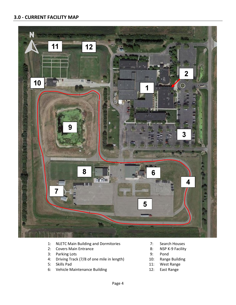# **3.0 - CURRENT FACILITY MAP**



- 1: NLETC Main Building and Dormitories 7: Search Houses
- 2: Covers Main Entrance 8: NSP K-9 Facility
- 3: Parking Lots 9: Pond
- 4: Driving Track (7/8 of one mile in length) 10: Range Building
- 
- 6: Vehicle Maintenance Building 12: East Range
- 
- 
- 
- 
- 5: Skills Pad 11: West Range
	-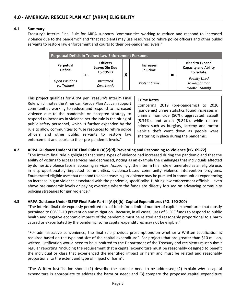#### **4.1 Summary**

Treasury's Interim Final Rule for ARPA supports "communities working to reduce and respond to increased violence due to the pandemic" and "that recipients may use resources to rehire police officers and other public servants to restore law enforcement and courts to their pre-pandemic levels."

| <b>Perpetual Deficit in Trained Law Enforcement Personnel</b> |  |                                              |   |                              |  |                                                                    |
|---------------------------------------------------------------|--|----------------------------------------------|---|------------------------------|--|--------------------------------------------------------------------|
| Perpetual<br><b>Deficit</b>                                   |  | <b>Officers</b><br>Leave/Die Due<br>to COVID | Л | <b>Increases</b><br>in Crime |  | <b>Need to Expand</b><br><b>Capacity and Ability</b><br>to Isolate |
| <b>Open Positions</b><br>vs. Trained                          |  | <i>Increased</i><br>Case Loads               |   | Violent Crime                |  | <b>Facility Used</b><br>to Respond or<br><b>Isolate Training</b>   |

This project qualifies for ARPA per Treasury's Interim Final Rule which notes the American Rescue Plan Act can support communities working to reduce and respond to increased violence due to the pandemic. An accepted strategy to respond to increases in violence per the rule is the hiring of public safety personnel, which is further expanded by the rule to allow communities to "use resources to rehire police officers and other public servants to restore law enforcement and courts to their pre-pandemic levels."

#### **Crime Rates**

Comparing 2019 (pre-pandemic) to 2020 (pandemic) crime statistics found increases in criminal homicide (50%), aggravated assault (5.34%), and arson (5.84%), while related crimes such as burglary, larceny and motor vehicle theft went down as people were sheltering in place during the pandemic.

#### **4.2 ARPA Guidance Under SLFRF Final Rule II (A)(2)(d)-Preventing and Responding to Violence (PG. 69-72)**

"The interim final rule highlighted that some types of violence had increased during the pandemic and that the ability of victims to access services had decreased, noting as an example the challenges that individuals affected by domestic violence face in accessing services. Accordingly, the interim final rule enumerated as an eligible use, in disproportionately impacted communities, evidence-based community violence intervention programs. Enumerated eligible uses that respond to an increase in gun violence may be pursued in communities experiencing an increase in gun violence associated with the pandemic, specifically: 1) hiring law enforcement officials – even above pre-pandemic levels or paying overtime where the funds are directly focused on advancing community policing strategies for gun violence."

# **4.3 ARPA Guidance Under SLFRF Final Rule Part II (A)(4)(b) -Capital Expenditures (PG. 190-200)**

"The interim final rule expressly permitted use of funds for a limited number of capital expenditures that mostly pertained to COVID-19 prevention and mitigation…Because, in all cases, uses of SLFRF funds to respond to public health and negative economic impacts of the pandemic must be related and reasonably proportional to a harm caused or exacerbated by the pandemic, some capital expenditures may not be eligible."

"For administrative convenience, the final rule provides presumptions on whether a Written Justification is required based on the type and size of the capital expenditure". For projects that are greater than \$10 million, written justification would need to be submitted to the Department of the Treasury and recipients must submit regular reporting "including the requirement that a capital expenditure must be reasonably designed to benefit the individual or class that experienced the identified impact or harm and must be related and reasonably proportional to the extent and type of impact or harm".

"The Written Justification should (1) describe the harm or need to be addressed; (2) explain why a capital expenditure is appropriate to address the harm or need; and (3) compare the proposed capital expenditure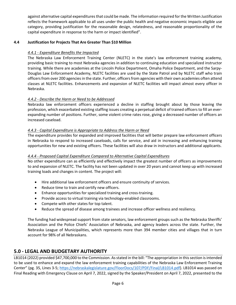against alternative capital expenditures that could be made. The information required for the Written Justification reflects the framework applicable to all uses under the public health and negative economic impacts eligible use category, providing justification for the reasonable design, relatedness, and reasonable proportionality of the capital expenditure in response to the harm or impact identified".

## **4.4 Justification for Projects That Are Greater Than \$10 Million**

## *4.4.1 - Expenditure Benefits the Impacted*

The Nebraska Law Enforcement Training Center (NLETC) in the state's law enforcement training academy, providing basic training to most Nebraska agencies in addition to continuing education and specialized instructor training. While there are academies at the Lincoln Police Department, Omaha Police Department, and the Sarpy-Douglas Law Enforcement Academy, NLETC facilities are used by the State Patrol and by NLETC staff who train officers from over 200 agencies in the state. Further, officers from agencies with their own academies often attend classes at NLETC facilities. Enhancements and expansion of NLETC facilities will impact almost every officer in Nebraska.

### *4.4.2 - Describe the Harm or Need to be Addressed*

Nebraska law enforcement officers experienced a decline in staffing brought about by those leaving the profession, which exacerbated existing staffing issues creating a perpetual deficit of trained officers to fill an everexpanding number of positions. Further, some violent crime rates rose, giving a decreased number of officers an increased caseload.

#### *4.4.3 - Capital Expenditure is Appropriate to Address the Harm or Need*

The expenditure provides for expanded and improved facilities that will better prepare law enforcement officers in Nebraska to respond to increased caseloads, calls for service, and aid in increasing and enhancing training opportunities for new and existing officers. These facilities will also draw in instructors and additional applicants.

#### *4.4.4 - Proposed Capital Expenditure Compared to Alternative Capital Expenditures*

No other expenditure can as efficiently and effectively impact the greatest number of officers as improvements to and expansion of NLETC. The facility has not been updated in over 20 years and cannot keep up with increased training loads and changes in content. The project will:

- Hire additional law enforcement officers and ensure continuity of services.
- Reduce time to train and certify new officers.
- Enhance opportunities for specialized training and cross-training.
- Provide access to virtual training via technology-enabled classrooms.
- Compete with other states for top talent.
- Reduce the spread of disease among trainees and increase officer wellness and resiliency.

The funding had widespread support from state senators, law enforcement groups such as the Nebraska Sheriffs' Association and the Police Chiefs' Association of Nebraska, and agency leaders across the state. Further, the Nebraska League of Municipalities, which represents more than 394 member cities and villages that in turn account for 98% of all Nebraskans.

# **5.0 - LEGAL AND BUDGETARY AUTHORITY**

LB1014 (2022) provided \$47,700,000 to the Commission. As stated in the bill: "The appropriation in this section is intended to be used to enhance and expand the law enforcement training capabilities of the Nebraska Law Enforcement Training Center" (pg. 35, Lines 3-5; [https://nebraskalegislature.gov/FloorDocs/107/PDF/Final/LB1014.pdf\)](https://nebraskalegislature.gov/FloorDocs/107/PDF/Final/LB1014.pdf). LB1014 was passed on Final Reading with Emergency Clause on April 7, 2022, signed by the Speaker/President on April 7, 2022, presented to the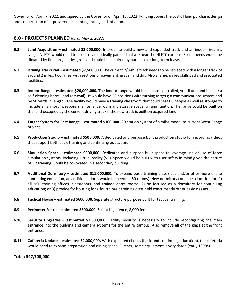Governor on April 7, 2022, and signed by the Governor on April 13, 2022. Funding covers the cost of land purchase, design and construction of improvements, contingencies, and inflation.

# **6.0 - PROJECTS PLANNED** *(as of May 2, 2022)*

- **6.1 Land Acquisition – estimated \$2,000,000.** In order to build a new and expanded track and an indoor firearms range, NLETC would need to acquire land, ideally parcels that are near the NLETC campus. Space needs would be dictated by final project designs. Land could be acquired by purchase or long-term lease.
- **6.2 Driving Track/Pad – estimated \$7,500,000.** The current 7/8-mile track needs to be replaced with a longer track of around 2 miles, two lanes, with sections of pavement, gravel, and dirt. Also a large, paved skills pad and associated facilities.
- **6.3 Indoor Range – estimated \$20,000,000.** The indoor range would be climate controlled, ventilated and include a self-cleaning berm (lead removal). It would have 50 positions with turning targets; a communications system and be 50 yards in length. The facility would have a training classroom that could seat 60 people as well as storage to include an armory, weapons maintenance room and storage space for ammunition. The range could be built on the land occupied by the current driving track if the new track is built on acquired land.
- **6.4 Target System for East Range – estimated \$100,000.** 20 station system of similar model to current West Range project.
- **6.5 Production Studio – estimated \$500,000.** A dedicated and purpose built production studio for recording videos that support both basic training and continuing education.
- **6.6 Simulation Space – estimated \$500,000.** Dedicated and purpose built space to leverage use of use of force simulation systems, including virtual reality (VR). Space would be built with user safety in mind given the nature of VR training. Could be co-located in a secondary building.
- **6.7 Additional Dormitory – estimated \$11,000,000.** To expand basic training class sizes and/or offer more onsite continuing education, an additional dorm would be needed (50 rooms). New dormitory could be a location for: 1) all NSP training offices, classrooms, and trainee dorm rooms; 2) be focused as a dormitory for continuing education; or 3) provide for housing for a fourth basic training class held concurrently other basic classes.
- **6.8 Tactical House – estimated \$600,000.** Separate structure purpose built for tactical training.
- **6.9 Perimeter Fence – estimated \$500,000.** 6-foot high fence, 8,000 feet.
- **6.10 Security Upgrades – estimated \$3,000,000.** Facility security is necessary to include reconfiguring the main entrance into the building and camera systems for the entire campus. Also remove all of the glass at the front entrance.
- **6.11 Cafeteria Update – estimated \$2,000,000.** With expanded classes (basic and continuing education), the cafeteria would need to expand preparation and dining space. Further, some equipment is very dated (early 1990s).

#### **Total: \$47,700,000**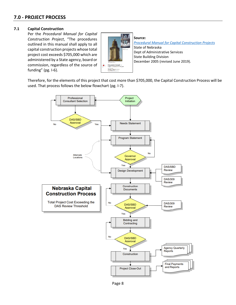#### **7.1 Capital Construction**

Per the *Procedural Manual for Capital Construction Project*, "The procedures outlined in this manual shall apply to all capital construction projects whose total project cost exceeds \$705,000 which are administered by a State agency, board or commission, regardless of the source of funding" (pg. I-6).



**Source:** *[Procedural Manual for Capital Construction Projects](https://das.nebraska.gov/building/docs/pdf/Procedural%20Manual%20with%20Appendices.pdf)* State of Nebraska Dept of Administrative Services State Building Division December 2005 (revised June 2019).

Therefore, for the elements of this project that cost more than \$705,000, the Capital Construction Process will be used. That process follows the below flowchart (pg. I-7).